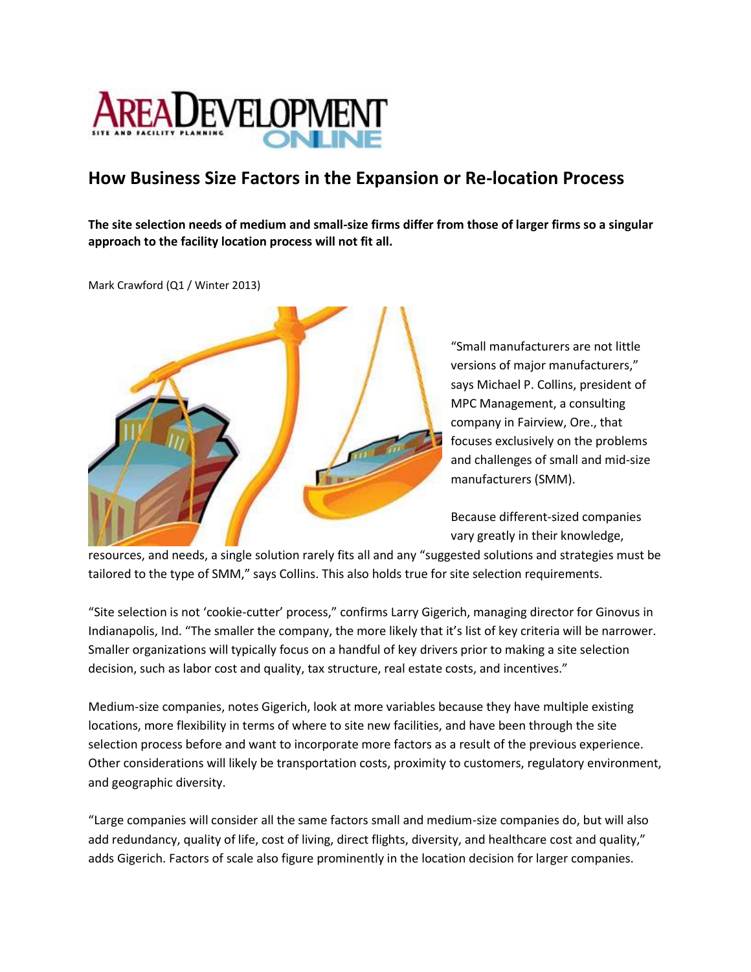

## **How Business Size Factors in the Expansion or Re-location Process**

**The site selection needs of medium and small-size firms differ from those of larger firms so a singular approach to the facility location process will not fit all.** 

Mark Crawford (Q1 / Winter 2013)



"Small manufacturers are not little versions of major manufacturers," says Michael P. Collins, president of MPC Management, a consulting company in Fairview, Ore., that focuses exclusively on the problems and challenges of small and mid-size manufacturers (SMM).

Because different-sized companies vary greatly in their knowledge,

resources, and needs, a single solution rarely fits all and any "suggested solutions and strategies must be tailored to the type of SMM," says Collins. This also holds true for site selection requirements.

"Site selection is not 'cookie-cutter' process," confirms Larry Gigerich, managing director for Ginovus in Indianapolis, Ind. "The smaller the company, the more likely that it's list of key criteria will be narrower. Smaller organizations will typically focus on a handful of key drivers prior to making a site selection decision, such as labor cost and quality, tax structure, real estate costs, and incentives."

Medium-size companies, notes Gigerich, look at more variables because they have multiple existing locations, more flexibility in terms of where to site new facilities, and have been through the site selection process before and want to incorporate more factors as a result of the previous experience. Other considerations will likely be transportation costs, proximity to customers, regulatory environment, and geographic diversity.

"Large companies will consider all the same factors small and medium-size companies do, but will also add redundancy, quality of life, cost of living, direct flights, diversity, and healthcare cost and quality," adds Gigerich. Factors of scale also figure prominently in the location decision for larger companies.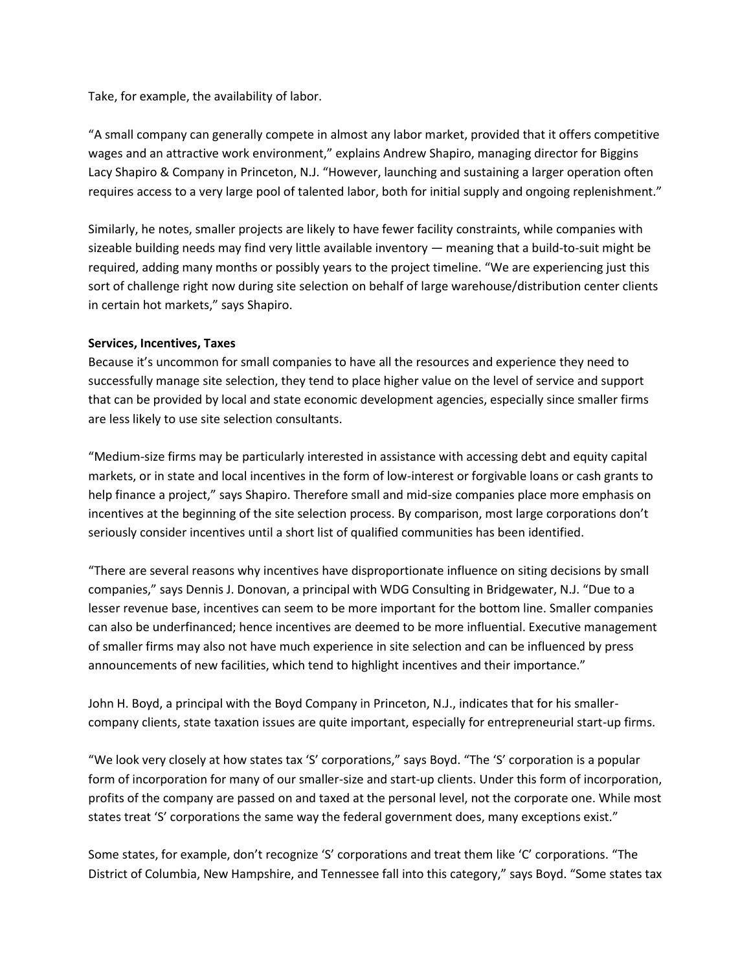Take, for example, the availability of labor.

"A small company can generally compete in almost any labor market, provided that it offers competitive wages and an attractive work environment," explains Andrew Shapiro, managing director for Biggins Lacy Shapiro & Company in Princeton, N.J. "However, launching and sustaining a larger operation often requires access to a very large pool of talented labor, both for initial supply and ongoing replenishment."

Similarly, he notes, smaller projects are likely to have fewer facility constraints, while companies with sizeable building needs may find very little available inventory — meaning that a build-to-suit might be required, adding many months or possibly years to the project timeline. "We are experiencing just this sort of challenge right now during site selection on behalf of large warehouse/distribution center clients in certain hot markets," says Shapiro.

## **Services, Incentives, Taxes**

Because it's uncommon for small companies to have all the resources and experience they need to successfully manage site selection, they tend to place higher value on the level of service and support that can be provided by local and state economic development agencies, especially since smaller firms are less likely to use site selection consultants.

"Medium-size firms may be particularly interested in assistance with accessing debt and equity capital markets, or in state and local incentives in the form of low-interest or forgivable loans or cash grants to help finance a project," says Shapiro. Therefore small and mid-size companies place more emphasis on incentives at the beginning of the site selection process. By comparison, most large corporations don't seriously consider incentives until a short list of qualified communities has been identified.

"There are several reasons why incentives have disproportionate influence on siting decisions by small companies," says Dennis J. Donovan, a principal with WDG Consulting in Bridgewater, N.J. "Due to a lesser revenue base, incentives can seem to be more important for the bottom line. Smaller companies can also be underfinanced; hence incentives are deemed to be more influential. Executive management of smaller firms may also not have much experience in site selection and can be influenced by press announcements of new facilities, which tend to highlight incentives and their importance."

John H. Boyd, a principal with the Boyd Company in Princeton, N.J., indicates that for his smallercompany clients, state taxation issues are quite important, especially for entrepreneurial start-up firms.

"We look very closely at how states tax 'S' corporations," says Boyd. "The 'S' corporation is a popular form of incorporation for many of our smaller-size and start-up clients. Under this form of incorporation, profits of the company are passed on and taxed at the personal level, not the corporate one. While most states treat 'S' corporations the same way the federal government does, many exceptions exist."

Some states, for example, don't recognize 'S' corporations and treat them like 'C' corporations. "The District of Columbia, New Hampshire, and Tennessee fall into this category," says Boyd. "Some states tax